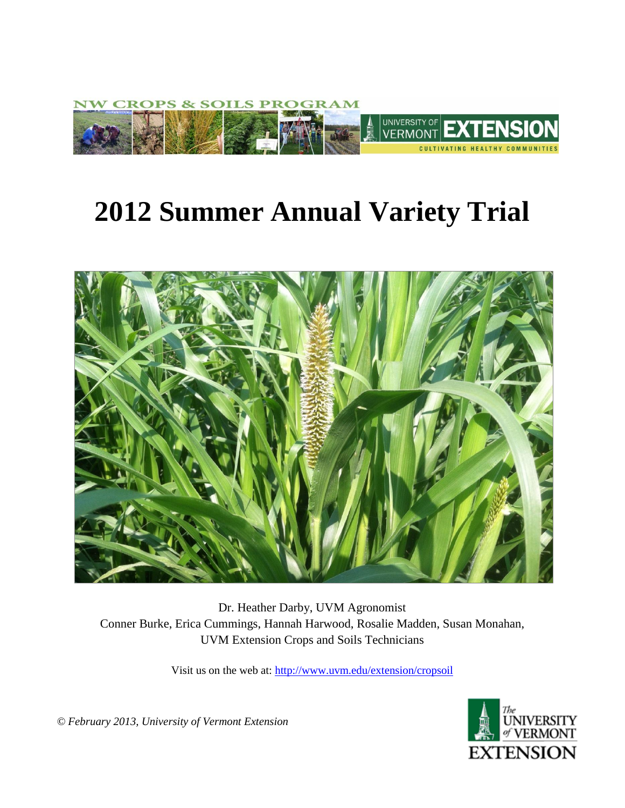

# **2012 Summer Annual Variety Trial**



Dr. Heather Darby, UVM Agronomist Conner Burke, Erica Cummings, Hannah Harwood, Rosalie Madden, Susan Monahan, UVM Extension Crops and Soils Technicians

Visit us on the web at:<http://www.uvm.edu/extension/cropsoil>



 *© February 2013, University of Vermont Extension*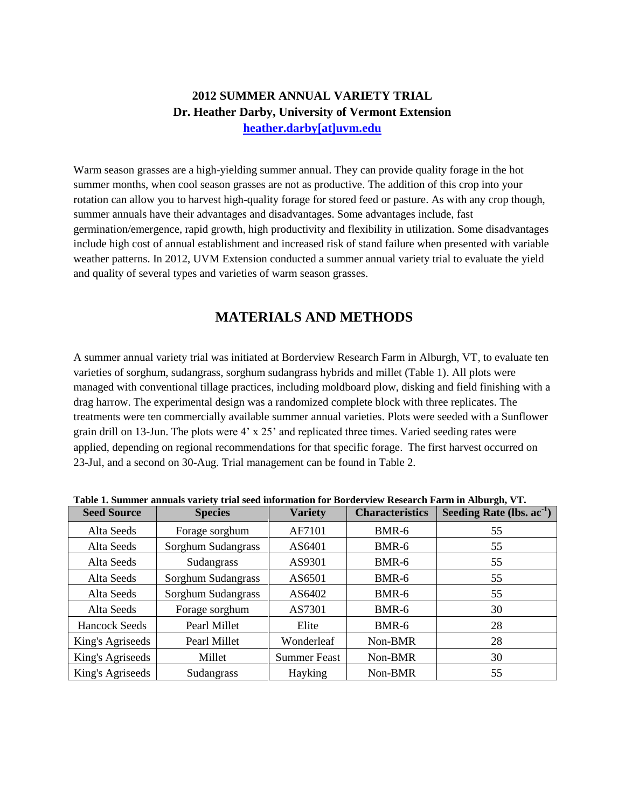## **2012 SUMMER ANNUAL VARIETY TRIAL Dr. Heather Darby, University of Vermont Extension [heather.darby\[at\]uvm.edu](mailto:heather.darby@uvm.edu?subject=Winter%20Barley%20Variety%20Trial)**

Warm season grasses are a high-yielding summer annual. They can provide quality forage in the hot summer months, when cool season grasses are not as productive. The addition of this crop into your rotation can allow you to harvest high-quality forage for stored feed or pasture. As with any crop though, summer annuals have their advantages and disadvantages. Some advantages include, fast germination/emergence, rapid growth, high productivity and flexibility in utilization. Some disadvantages include high cost of annual establishment and increased risk of stand failure when presented with variable weather patterns. In 2012, UVM Extension conducted a summer annual variety trial to evaluate the yield and quality of several types and varieties of warm season grasses.

## **MATERIALS AND METHODS**

A summer annual variety trial was initiated at Borderview Research Farm in Alburgh, VT, to evaluate ten varieties of sorghum, sudangrass, sorghum sudangrass hybrids and millet (Table 1). All plots were managed with conventional tillage practices, including moldboard plow, disking and field finishing with a drag harrow. The experimental design was a randomized complete block with three replicates. The treatments were ten commercially available summer annual varieties. Plots were seeded with a Sunflower grain drill on 13-Jun. The plots were 4' x 25' and replicated three times. Varied seeding rates were applied, depending on regional recommendations for that specific forage. The first harvest occurred on 23-Jul, and a second on 30-Aug. Trial management can be found in Table 2.

| <b>Seed Source</b>   | <b>Species</b>     | <b>Variety</b>      | <b>Characteristics</b> | Seeding Rate $(lbs. ac^{-1})$ |
|----------------------|--------------------|---------------------|------------------------|-------------------------------|
| Alta Seeds           | Forage sorghum     | AF7101              | BMR-6                  | 55                            |
| Alta Seeds           | Sorghum Sudangrass | AS6401              | BMR-6                  | 55                            |
| Alta Seeds           | Sudangrass         | AS9301              | BMR-6                  | 55                            |
| Alta Seeds           | Sorghum Sudangrass | AS6501              | BMR-6                  | 55                            |
| Alta Seeds           | Sorghum Sudangrass | AS6402              | BMR-6                  | 55                            |
| Alta Seeds           | Forage sorghum     | AS7301              | BMR-6                  | 30                            |
| <b>Hancock Seeds</b> | Pearl Millet       | Elite               | BMR-6                  | 28                            |
| King's Agriseeds     | Pearl Millet       | Wonderleaf          | Non-BMR                | 28                            |
| King's Agriseeds     | Millet             | <b>Summer Feast</b> | Non-BMR                | 30                            |
| King's Agriseeds     | Sudangrass         | <b>Hayking</b>      | Non-BMR                | 55                            |

**Table 1. Summer annuals variety trial seed information for Borderview Research Farm in Alburgh, VT.**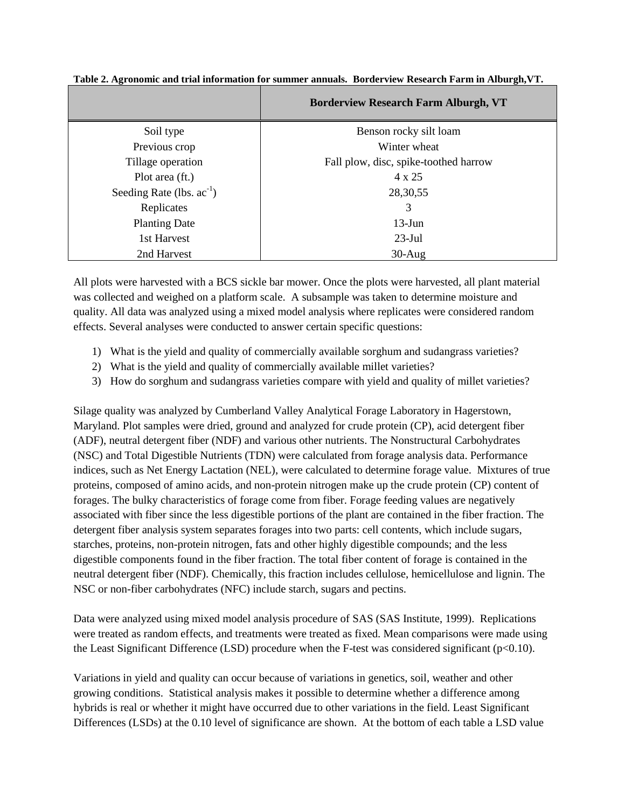|                                | <b>Borderview Research Farm Alburgh, VT</b> |
|--------------------------------|---------------------------------------------|
| Soil type                      | Benson rocky silt loam                      |
| Previous crop                  | Winter wheat                                |
| Tillage operation              | Fall plow, disc, spike-toothed harrow       |
| Plot area (ft.)                | 4 x 25                                      |
| Seeding Rate (lbs. $ac^{-1}$ ) | 28, 30, 55                                  |
| Replicates                     | 3                                           |
| <b>Planting Date</b>           | $13$ -Jun                                   |
| 1st Harvest                    | $23$ -Jul                                   |
| 2nd Harvest                    | $30-Aug$                                    |

**Table 2. Agronomic and trial information for summer annuals. Borderview Research Farm in Alburgh,VT.**

All plots were harvested with a BCS sickle bar mower. Once the plots were harvested, all plant material was collected and weighed on a platform scale. A subsample was taken to determine moisture and quality. All data was analyzed using a mixed model analysis where replicates were considered random effects. Several analyses were conducted to answer certain specific questions:

- 1) What is the yield and quality of commercially available sorghum and sudangrass varieties?
- 2) What is the yield and quality of commercially available millet varieties?
- 3) How do sorghum and sudangrass varieties compare with yield and quality of millet varieties?

Silage quality was analyzed by Cumberland Valley Analytical Forage Laboratory in Hagerstown, Maryland. Plot samples were dried, ground and analyzed for crude protein (CP), acid detergent fiber (ADF), neutral detergent fiber (NDF) and various other nutrients. The Nonstructural Carbohydrates (NSC) and Total Digestible Nutrients (TDN) were calculated from forage analysis data. Performance indices, such as Net Energy Lactation (NEL), were calculated to determine forage value. Mixtures of true proteins, composed of amino acids, and non-protein nitrogen make up the crude protein (CP) content of forages. The bulky characteristics of forage come from fiber. Forage feeding values are negatively associated with fiber since the less digestible portions of the plant are contained in the fiber fraction. The detergent fiber analysis system separates forages into two parts: cell contents, which include sugars, starches, proteins, non-protein nitrogen, fats and other highly digestible compounds; and the less digestible components found in the fiber fraction. The total fiber content of forage is contained in the neutral detergent fiber (NDF). Chemically, this fraction includes cellulose, hemicellulose and lignin. The NSC or non-fiber carbohydrates (NFC) include starch, sugars and pectins.

Data were analyzed using mixed model analysis procedure of SAS (SAS Institute, 1999). Replications were treated as random effects, and treatments were treated as fixed. Mean comparisons were made using the Least Significant Difference (LSD) procedure when the F-test was considered significant ( $p<0.10$ ).

Variations in yield and quality can occur because of variations in genetics, soil, weather and other growing conditions. Statistical analysis makes it possible to determine whether a difference among hybrids is real or whether it might have occurred due to other variations in the field. Least Significant Differences (LSDs) at the 0.10 level of significance are shown. At the bottom of each table a LSD value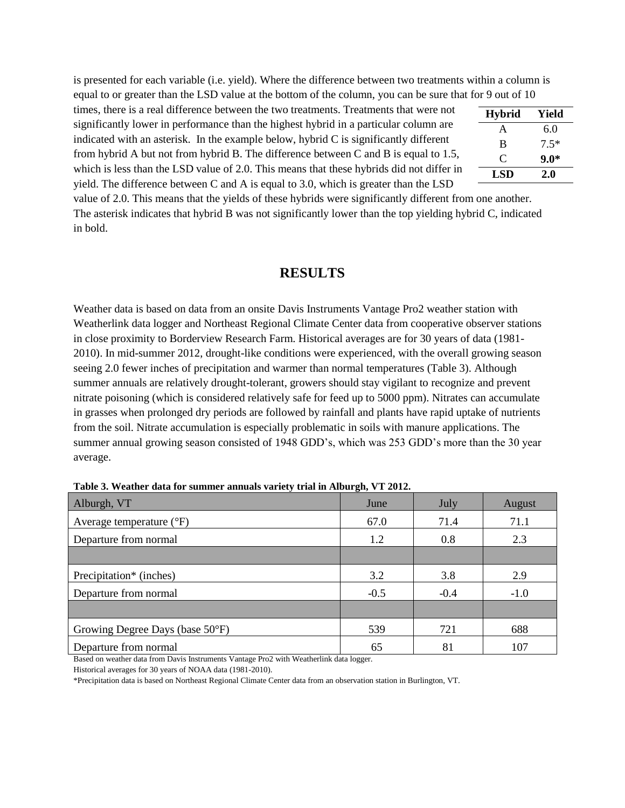is presented for each variable (i.e. yield). Where the difference between two treatments within a column is equal to or greater than the LSD value at the bottom of the column, you can be sure that for 9 out of 10

times, there is a real difference between the two treatments. Treatments that were not significantly lower in performance than the highest hybrid in a particular column are indicated with an asterisk. In the example below, hybrid C is significantly different from hybrid A but not from hybrid B. The difference between C and B is equal to 1.5, which is less than the LSD value of 2.0. This means that these hybrids did not differ in yield. The difference between C and A is equal to 3.0, which is greater than the LSD

| <b>Hybrid</b> | Yield  |
|---------------|--------|
| A             | 6.0    |
| B             | $7.5*$ |
| C             | $9.0*$ |
| LSD           | 2.0    |

value of 2.0. This means that the yields of these hybrids were significantly different from one another. The asterisk indicates that hybrid B was not significantly lower than the top yielding hybrid C, indicated in bold.

### **RESULTS**

Weather data is based on data from an onsite Davis Instruments Vantage Pro2 weather station with Weatherlink data logger and Northeast Regional Climate Center data from cooperative observer stations in close proximity to Borderview Research Farm. Historical averages are for 30 years of data (1981- 2010). In mid-summer 2012, drought-like conditions were experienced, with the overall growing season seeing 2.0 fewer inches of precipitation and warmer than normal temperatures (Table 3). Although summer annuals are relatively drought-tolerant, growers should stay vigilant to recognize and prevent nitrate poisoning (which is considered relatively safe for feed up to 5000 ppm). Nitrates can accumulate in grasses when prolonged dry periods are followed by rainfall and plants have rapid uptake of nutrients from the soil. Nitrate accumulation is especially problematic in soils with manure applications. The summer annual growing season consisted of 1948 GDD's, which was 253 GDD's more than the 30 year average.

| Alburgh, VT                         | June   | July   | August |
|-------------------------------------|--------|--------|--------|
| Average temperature $({}^{\circ}F)$ | 67.0   | 71.4   | 71.1   |
| Departure from normal               | 1.2    | 0.8    | 2.3    |
|                                     |        |        |        |
| Precipitation* (inches)             | 3.2    | 3.8    | 2.9    |
| Departure from normal               | $-0.5$ | $-0.4$ | $-1.0$ |
|                                     |        |        |        |
| Growing Degree Days (base 50°F)     | 539    | 721    | 688    |
| Departure from normal               | 65     | 81     | 107    |

**Table 3. Weather data for summer annuals variety trial in Alburgh, VT 2012.**

Based on weather data from Davis Instruments Vantage Pro2 with Weatherlink data logger.

Historical averages for 30 years of NOAA data (1981-2010).

\*Precipitation data is based on Northeast Regional Climate Center data from an observation station in Burlington, VT.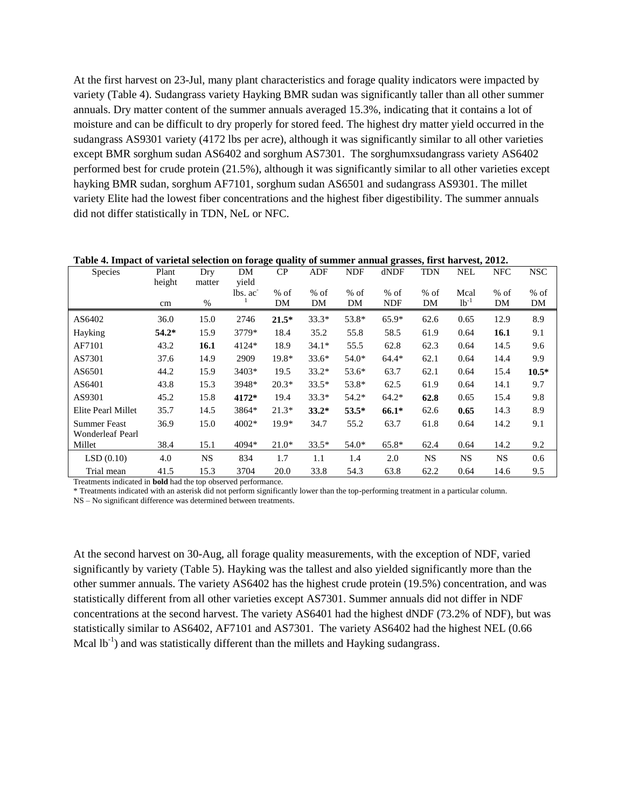At the first harvest on 23-Jul, many plant characteristics and forage quality indicators were impacted by variety (Table 4). Sudangrass variety Hayking BMR sudan was significantly taller than all other summer annuals. Dry matter content of the summer annuals averaged 15.3%, indicating that it contains a lot of moisture and can be difficult to dry properly for stored feed. The highest dry matter yield occurred in the sudangrass AS9301 variety (4172 lbs per acre), although it was significantly similar to all other varieties except BMR sorghum sudan AS6402 and sorghum AS7301. The sorghumxsudangrass variety AS6402 performed best for crude protein (21.5%), although it was significantly similar to all other varieties except hayking BMR sudan, sorghum AF7101, sorghum sudan AS6501 and sudangrass AS9301. The millet variety Elite had the lowest fiber concentrations and the highest fiber digestibility. The summer annuals did not differ statistically in TDN, NeL or NFC.

| Table 4. Impact of varietal selection on forage quality of summer annual grasses, first harvest, 2012. |       |            |    |     |            |          |     |                 |                  |
|--------------------------------------------------------------------------------------------------------|-------|------------|----|-----|------------|----------|-----|-----------------|------------------|
| <b>Species</b>                                                                                         | Plant | <b>Drv</b> | DМ | ADE | <b>NDE</b> | dNDF TDN | NFI | N <sub>FC</sub> | NSC <sup>1</sup> |

| pecies                  | т тапт<br>height                                                      | <b>DIY</b><br>matter | <b>LANI</b><br>vield | ◡       | ADI.    | TADT.   | unur       | <b>IDIY</b> | بالنافلا  | <b>IVIV</b> | 110C    |
|-------------------------|-----------------------------------------------------------------------|----------------------|----------------------|---------|---------|---------|------------|-------------|-----------|-------------|---------|
|                         |                                                                       |                      | lbs. ac              | $%$ of  | $%$ of  | $%$ of  | $%$ of     | $%$ of      | Mcal      | $%$ of      | $%$ of  |
|                         | cm                                                                    | %                    |                      | DM      | DM      | DM      | <b>NDF</b> | DM          | $lb^{-1}$ | DM          | DM      |
| AS6402                  | 36.0                                                                  | 15.0                 | 2746                 | $21.5*$ | $33.3*$ | 53.8*   | $65.9*$    | 62.6        | 0.65      | 12.9        | 8.9     |
| Hayking                 | $54.2*$                                                               | 15.9                 | 3779*                | 18.4    | 35.2    | 55.8    | 58.5       | 61.9        | 0.64      | 16.1        | 9.1     |
| AF7101                  | 43.2                                                                  | 16.1                 | 4124*                | 18.9    | $34.1*$ | 55.5    | 62.8       | 62.3        | 0.64      | 14.5        | 9.6     |
| AS7301                  | 37.6                                                                  | 14.9                 | 2909                 | $19.8*$ | $33.6*$ | 54.0*   | $64.4*$    | 62.1        | 0.64      | 14.4        | 9.9     |
| AS6501                  | 44.2                                                                  | 15.9                 | 3403*                | 19.5    | $33.2*$ | $53.6*$ | 63.7       | 62.1        | 0.64      | 15.4        | $10.5*$ |
| AS6401                  | 43.8                                                                  | 15.3                 | 3948*                | $20.3*$ | $33.5*$ | 53.8*   | 62.5       | 61.9        | 0.64      | 14.1        | 9.7     |
| AS9301                  | 45.2                                                                  | 15.8                 | 4172*                | 19.4    | $33.3*$ | $54.2*$ | $64.2*$    | 62.8        | 0.65      | 15.4        | 9.8     |
| Elite Pearl Millet      | 35.7                                                                  | 14.5                 | 3864*                | $21.3*$ | $33.2*$ | $53.5*$ | 66.1*      | 62.6        | 0.65      | 14.3        | 8.9     |
| <b>Summer Feast</b>     | 36.9                                                                  | 15.0                 | 4002*                | $19.9*$ | 34.7    | 55.2    | 63.7       | 61.8        | 0.64      | 14.2        | 9.1     |
| <b>Wonderleaf Pearl</b> |                                                                       |                      |                      |         |         |         |            |             |           |             |         |
| Millet                  | 38.4                                                                  | 15.1                 | 4094*                | $21.0*$ | $33.5*$ | 54.0*   | $65.8*$    | 62.4        | 0.64      | 14.2        | 9.2     |
| LSD(0.10)               | 4.0                                                                   | <b>NS</b>            | 834                  | 1.7     | 1.1     | 1.4     | 2.0        | <b>NS</b>   | <b>NS</b> | <b>NS</b>   | 0.6     |
| Trial mean              | 41.5                                                                  | 15.3                 | 3704                 | 20.0    | 33.8    | 54.3    | 63.8       | 62.2        | 0.64      | 14.6        | 9.5     |
|                         | Treatments indicated in <b>bold</b> had the top observed performance. |                      |                      |         |         |         |            |             |           |             |         |

\* Treatments indicated with an asterisk did not perform significantly lower than the top-performing treatment in a particular column. NS – No significant difference was determined between treatments.

At the second harvest on 30-Aug, all forage quality measurements, with the exception of NDF, varied significantly by variety (Table 5). Hayking was the tallest and also yielded significantly more than the other summer annuals. The variety AS6402 has the highest crude protein (19.5%) concentration, and was statistically different from all other varieties except AS7301. Summer annuals did not differ in NDF concentrations at the second harvest. The variety AS6401 had the highest dNDF (73.2% of NDF), but was statistically similar to AS6402, AF7101 and AS7301. The variety AS6402 had the highest NEL (0.66 Mcal  $1b^{-1}$ ) and was statistically different than the millets and Hayking sudangrass.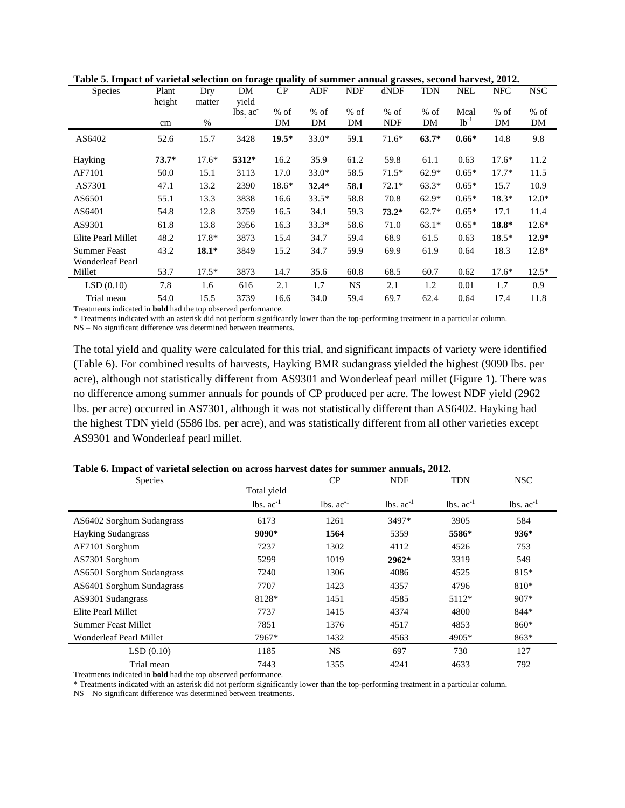| Species                                        | Plant        | Dry         | DM               | CP           | ADF          | <b>NDF</b>   | dNDF                 | <b>TDN</b>   | NEL               | <b>NFC</b>   | <b>NSC</b>   |
|------------------------------------------------|--------------|-------------|------------------|--------------|--------------|--------------|----------------------|--------------|-------------------|--------------|--------------|
|                                                | height<br>cm | matter<br>% | yield<br>lbs. ac | $%$ of<br>DM | $%$ of<br>DM | $%$ of<br>DM | $%$ of<br><b>NDF</b> | $%$ of<br>DM | Mcal<br>$1b^{-1}$ | $%$ of<br>DM | $%$ of<br>DM |
| AS6402                                         | 52.6         | 15.7        | 3428             | $19.5*$      | $33.0*$      | 59.1         | $71.6*$              | $63.7*$      | $0.66*$           | 14.8         | 9.8          |
| Hayking                                        | $73.7*$      | $17.6*$     | 5312*            | 16.2         | 35.9         | 61.2         | 59.8                 | 61.1         | 0.63              | $17.6*$      | 11.2         |
| AF7101                                         | 50.0         | 15.1        | 3113             | 17.0         | $33.0*$      | 58.5         | $71.5*$              | $62.9*$      | $0.65*$           | $17.7*$      | 11.5         |
| AS7301                                         | 47.1         | 13.2        | 2390             | $18.6*$      | $32.4*$      | 58.1         | $72.1*$              | $63.3*$      | $0.65*$           | 15.7         | 10.9         |
| AS6501                                         | 55.1         | 13.3        | 3838             | 16.6         | $33.5*$      | 58.8         | 70.8                 | $62.9*$      | $0.65*$           | $18.3*$      | $12.0*$      |
| AS6401                                         | 54.8         | 12.8        | 3759             | 16.5         | 34.1         | 59.3         | $73.2*$              | $62.7*$      | $0.65*$           | 17.1         | 11.4         |
| AS9301                                         | 61.8         | 13.8        | 3956             | 16.3         | $33.3*$      | 58.6         | 71.0                 | $63.1*$      | $0.65*$           | $18.8*$      | $12.6*$      |
| Elite Pearl Millet                             | 48.2         | $17.8*$     | 3873             | 15.4         | 34.7         | 59.4         | 68.9                 | 61.5         | 0.63              | $18.5*$      | $12.9*$      |
| <b>Summer Feast</b><br><b>Wonderleaf Pearl</b> | 43.2         | $18.1*$     | 3849             | 15.2         | 34.7         | 59.9         | 69.9                 | 61.9         | 0.64              | 18.3         | 12.8*        |
| Millet                                         | 53.7         | $17.5*$     | 3873             | 14.7         | 35.6         | 60.8         | 68.5                 | 60.7         | 0.62              | $17.6*$      | $12.5*$      |
| LSD(0.10)                                      | 7.8          | 1.6         | 616              | 2.1          | 1.7          | <b>NS</b>    | 2.1                  | 1.2          | 0.01              | 1.7          | 0.9          |
| Trial mean                                     | 54.0         | 15.5        | 3739             | 16.6         | 34.0         | 59.4         | 69.7                 | 62.4         | 0.64              | 17.4         | 11.8         |

**Table 5**. **Impact of varietal selection on forage quality of summer annual grasses, second harvest, 2012.**

Treatments indicated in **bold** had the top observed performance.

\* Treatments indicated with an asterisk did not perform significantly lower than the top-performing treatment in a particular column. NS – No significant difference was determined between treatments.

The total yield and quality were calculated for this trial, and significant impacts of variety were identified (Table 6). For combined results of harvests, Hayking BMR sudangrass yielded the highest (9090 lbs. per acre), although not statistically different from AS9301 and Wonderleaf pearl millet (Figure 1). There was no difference among summer annuals for pounds of CP produced per acre. The lowest NDF yield (2962 lbs. per acre) occurred in AS7301, although it was not statistically different than AS6402. Hayking had the highest TDN yield (5586 lbs. per acre), and was statistically different from all other varieties except AS9301 and Wonderleaf pearl millet.

| Table v. Impact of varietal sciection on across har vest dates for summer annuals, 2012.<br><b>Species</b> |                | CP               | NDF         | <b>TDN</b>  | <b>NSC</b>  |
|------------------------------------------------------------------------------------------------------------|----------------|------------------|-------------|-------------|-------------|
|                                                                                                            | Total yield    |                  |             |             |             |
|                                                                                                            | lbs. $ac^{-1}$ | $lbs.$ $ac^{-1}$ | $lbs. ac-1$ | $lbs. ac-1$ | $lbs. ac-1$ |
| AS6402 Sorghum Sudangrass                                                                                  | 6173           | 1261             | 3497*       | 3905        | 584         |
| <b>Hayking Sudangrass</b>                                                                                  | 9090*          | 1564             | 5359        | 5586*       | $936*$      |
| AF7101 Sorghum                                                                                             | 7237           | 1302             | 4112        | 4526        | 753         |
| AS7301 Sorghum                                                                                             | 5299           | 1019             | 2962*       | 3319        | 549         |
| AS6501 Sorghum Sudangrass                                                                                  | 7240           | 1306             | 4086        | 4525        | 815*        |
| AS6401 Sorghum Sundagrass                                                                                  | 7707           | 1423             | 4357        | 4796        | 810*        |
| AS9301 Sudangrass                                                                                          | 8128*          | 1451             | 4585        | 5112*       | 907*        |
| Elite Pearl Millet                                                                                         | 7737           | 1415             | 4374        | 4800        | 844*        |
| <b>Summer Feast Millet</b>                                                                                 | 7851           | 1376             | 4517        | 4853        | 860*        |
| Wonderleaf Pearl Millet                                                                                    | 7967*          | 1432             | 4563        | 4905*       | $863*$      |
| LSD(0.10)                                                                                                  | 1185           | NS.              | 697         | 730         | 127         |
| Trial mean                                                                                                 | 7443           | 1355             | 4241        | 4633        | 792         |

**Table 6. Impact of varietal selection on across harvest dates for summer annuals, 2012.**

Treatments indicated in **bold** had the top observed performance.

\* Treatments indicated with an asterisk did not perform significantly lower than the top-performing treatment in a particular column.

NS – No significant difference was determined between treatments.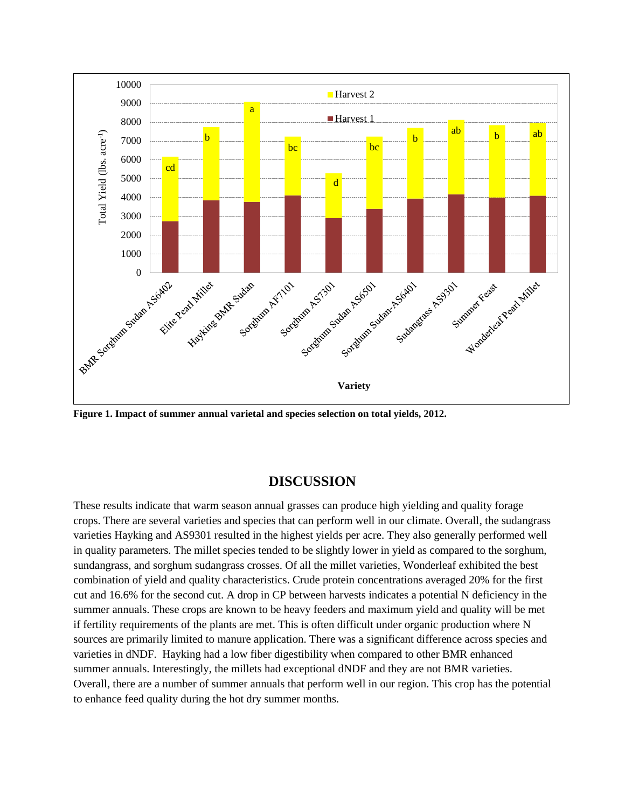

**Figure 1. Impact of summer annual varietal and species selection on total yields, 2012.**

#### **DISCUSSION**

These results indicate that warm season annual grasses can produce high yielding and quality forage crops. There are several varieties and species that can perform well in our climate. Overall, the sudangrass varieties Hayking and AS9301 resulted in the highest yields per acre. They also generally performed well in quality parameters. The millet species tended to be slightly lower in yield as compared to the sorghum, sundangrass, and sorghum sudangrass crosses. Of all the millet varieties, Wonderleaf exhibited the best combination of yield and quality characteristics. Crude protein concentrations averaged 20% for the first cut and 16.6% for the second cut. A drop in CP between harvests indicates a potential N deficiency in the summer annuals. These crops are known to be heavy feeders and maximum yield and quality will be met if fertility requirements of the plants are met. This is often difficult under organic production where N sources are primarily limited to manure application. There was a significant difference across species and varieties in dNDF. Hayking had a low fiber digestibility when compared to other BMR enhanced summer annuals. Interestingly, the millets had exceptional dNDF and they are not BMR varieties. Overall, there are a number of summer annuals that perform well in our region. This crop has the potential to enhance feed quality during the hot dry summer months.